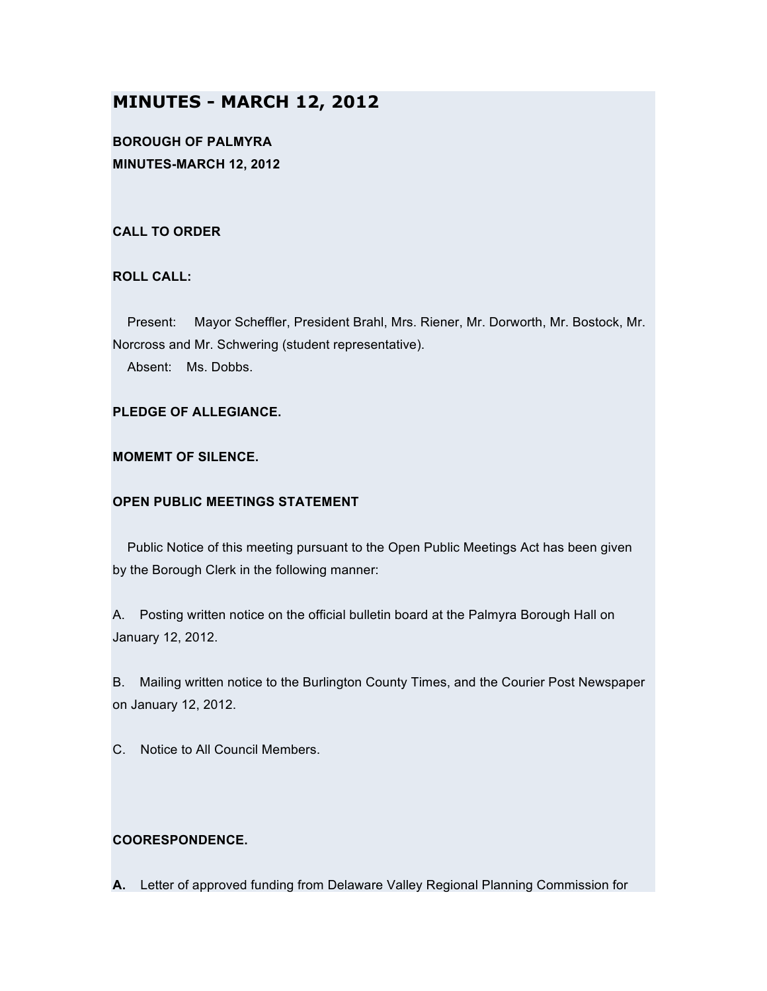# **MINUTES - MARCH 12, 2012**

**BOROUGH OF PALMYRA MINUTES-MARCH 12, 2012**

### **CALL TO ORDER**

## **ROLL CALL:**

Present: Mayor Scheffler, President Brahl, Mrs. Riener, Mr. Dorworth, Mr. Bostock, Mr. Norcross and Mr. Schwering (student representative).

Absent: Ms. Dobbs.

### **PLEDGE OF ALLEGIANCE.**

### **MOMEMT OF SILENCE.**

### **OPEN PUBLIC MEETINGS STATEMENT**

Public Notice of this meeting pursuant to the Open Public Meetings Act has been given by the Borough Clerk in the following manner:

A. Posting written notice on the official bulletin board at the Palmyra Borough Hall on January 12, 2012.

B. Mailing written notice to the Burlington County Times, and the Courier Post Newspaper on January 12, 2012.

C. Notice to All Council Members.

### **COORESPONDENCE.**

**A.** Letter of approved funding from Delaware Valley Regional Planning Commission for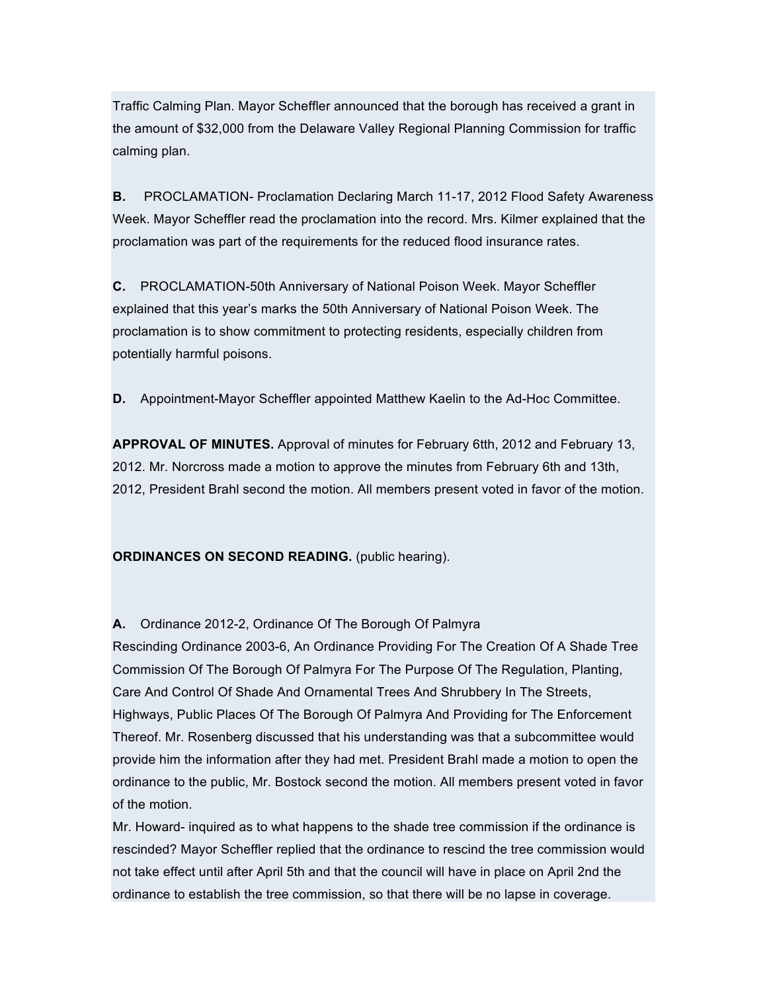Traffic Calming Plan. Mayor Scheffler announced that the borough has received a grant in the amount of \$32,000 from the Delaware Valley Regional Planning Commission for traffic calming plan.

**B.** PROCLAMATION- Proclamation Declaring March 11-17, 2012 Flood Safety Awareness Week. Mayor Scheffler read the proclamation into the record. Mrs. Kilmer explained that the proclamation was part of the requirements for the reduced flood insurance rates.

**C.** PROCLAMATION-50th Anniversary of National Poison Week. Mayor Scheffler explained that this year's marks the 50th Anniversary of National Poison Week. The proclamation is to show commitment to protecting residents, especially children from potentially harmful poisons.

**D.** Appointment-Mayor Scheffler appointed Matthew Kaelin to the Ad-Hoc Committee.

**APPROVAL OF MINUTES.** Approval of minutes for February 6tth, 2012 and February 13, 2012. Mr. Norcross made a motion to approve the minutes from February 6th and 13th, 2012, President Brahl second the motion. All members present voted in favor of the motion.

**ORDINANCES ON SECOND READING.** (public hearing).

## **A.** Ordinance 2012-2, Ordinance Of The Borough Of Palmyra

Rescinding Ordinance 2003-6, An Ordinance Providing For The Creation Of A Shade Tree Commission Of The Borough Of Palmyra For The Purpose Of The Regulation, Planting, Care And Control Of Shade And Ornamental Trees And Shrubbery In The Streets, Highways, Public Places Of The Borough Of Palmyra And Providing for The Enforcement Thereof. Mr. Rosenberg discussed that his understanding was that a subcommittee would provide him the information after they had met. President Brahl made a motion to open the ordinance to the public, Mr. Bostock second the motion. All members present voted in favor of the motion.

Mr. Howard- inquired as to what happens to the shade tree commission if the ordinance is rescinded? Mayor Scheffler replied that the ordinance to rescind the tree commission would not take effect until after April 5th and that the council will have in place on April 2nd the ordinance to establish the tree commission, so that there will be no lapse in coverage.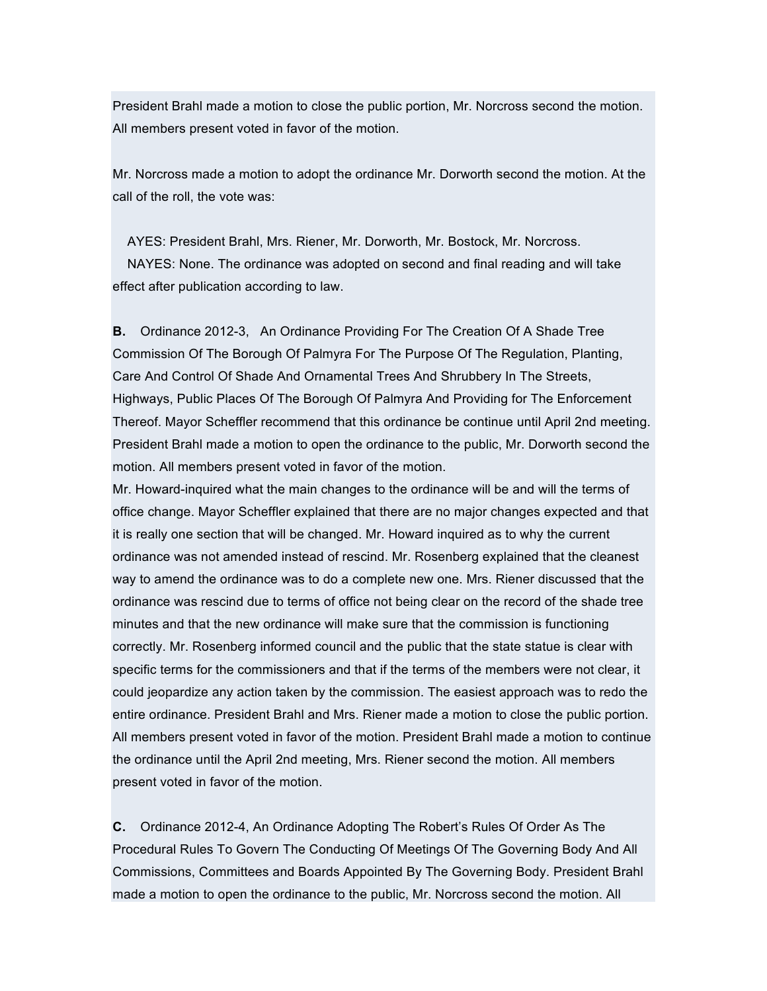President Brahl made a motion to close the public portion, Mr. Norcross second the motion. All members present voted in favor of the motion.

Mr. Norcross made a motion to adopt the ordinance Mr. Dorworth second the motion. At the call of the roll, the vote was:

AYES: President Brahl, Mrs. Riener, Mr. Dorworth, Mr. Bostock, Mr. Norcross. NAYES: None. The ordinance was adopted on second and final reading and will take effect after publication according to law.

**B.** Ordinance 2012-3, An Ordinance Providing For The Creation Of A Shade Tree Commission Of The Borough Of Palmyra For The Purpose Of The Regulation, Planting, Care And Control Of Shade And Ornamental Trees And Shrubbery In The Streets, Highways, Public Places Of The Borough Of Palmyra And Providing for The Enforcement Thereof. Mayor Scheffler recommend that this ordinance be continue until April 2nd meeting. President Brahl made a motion to open the ordinance to the public, Mr. Dorworth second the motion. All members present voted in favor of the motion.

Mr. Howard-inquired what the main changes to the ordinance will be and will the terms of office change. Mayor Scheffler explained that there are no major changes expected and that it is really one section that will be changed. Mr. Howard inquired as to why the current ordinance was not amended instead of rescind. Mr. Rosenberg explained that the cleanest way to amend the ordinance was to do a complete new one. Mrs. Riener discussed that the ordinance was rescind due to terms of office not being clear on the record of the shade tree minutes and that the new ordinance will make sure that the commission is functioning correctly. Mr. Rosenberg informed council and the public that the state statue is clear with specific terms for the commissioners and that if the terms of the members were not clear, it could jeopardize any action taken by the commission. The easiest approach was to redo the entire ordinance. President Brahl and Mrs. Riener made a motion to close the public portion. All members present voted in favor of the motion. President Brahl made a motion to continue the ordinance until the April 2nd meeting, Mrs. Riener second the motion. All members present voted in favor of the motion.

**C.** Ordinance 2012-4, An Ordinance Adopting The Robert's Rules Of Order As The Procedural Rules To Govern The Conducting Of Meetings Of The Governing Body And All Commissions, Committees and Boards Appointed By The Governing Body. President Brahl made a motion to open the ordinance to the public, Mr. Norcross second the motion. All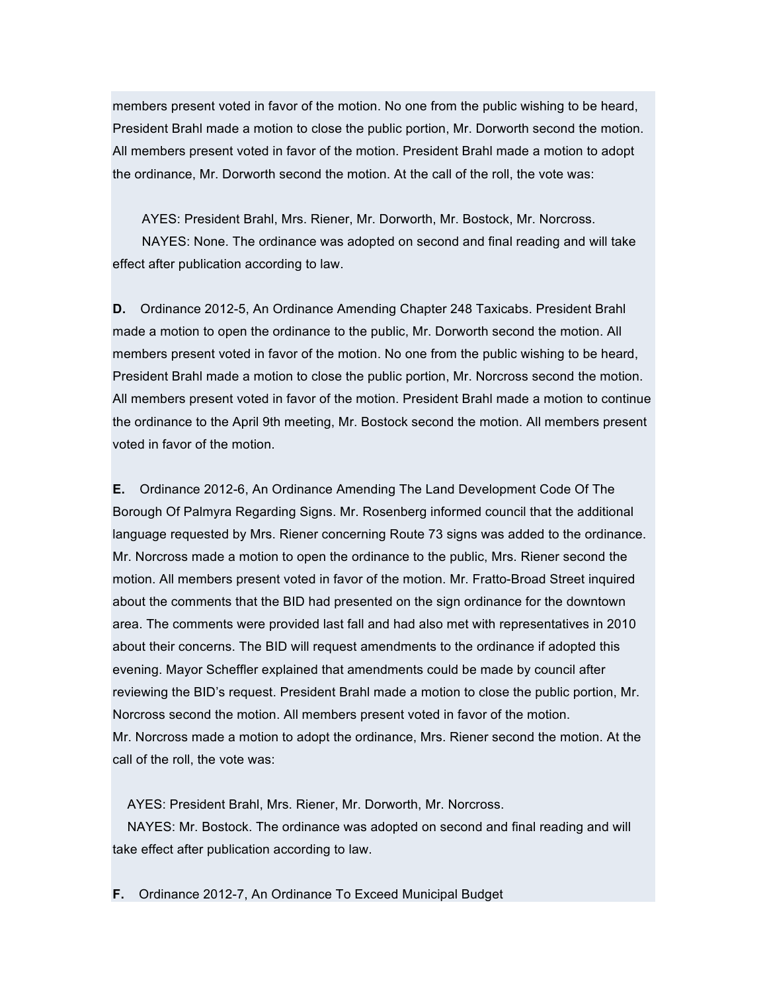members present voted in favor of the motion. No one from the public wishing to be heard, President Brahl made a motion to close the public portion, Mr. Dorworth second the motion. All members present voted in favor of the motion. President Brahl made a motion to adopt the ordinance, Mr. Dorworth second the motion. At the call of the roll, the vote was:

AYES: President Brahl, Mrs. Riener, Mr. Dorworth, Mr. Bostock, Mr. Norcross. NAYES: None. The ordinance was adopted on second and final reading and will take effect after publication according to law.

**D.** Ordinance 2012-5, An Ordinance Amending Chapter 248 Taxicabs. President Brahl made a motion to open the ordinance to the public, Mr. Dorworth second the motion. All members present voted in favor of the motion. No one from the public wishing to be heard, President Brahl made a motion to close the public portion, Mr. Norcross second the motion. All members present voted in favor of the motion. President Brahl made a motion to continue the ordinance to the April 9th meeting, Mr. Bostock second the motion. All members present voted in favor of the motion.

**E.** Ordinance 2012-6, An Ordinance Amending The Land Development Code Of The Borough Of Palmyra Regarding Signs. Mr. Rosenberg informed council that the additional language requested by Mrs. Riener concerning Route 73 signs was added to the ordinance. Mr. Norcross made a motion to open the ordinance to the public, Mrs. Riener second the motion. All members present voted in favor of the motion. Mr. Fratto-Broad Street inquired about the comments that the BID had presented on the sign ordinance for the downtown area. The comments were provided last fall and had also met with representatives in 2010 about their concerns. The BID will request amendments to the ordinance if adopted this evening. Mayor Scheffler explained that amendments could be made by council after reviewing the BID's request. President Brahl made a motion to close the public portion, Mr. Norcross second the motion. All members present voted in favor of the motion. Mr. Norcross made a motion to adopt the ordinance, Mrs. Riener second the motion. At the call of the roll, the vote was:

AYES: President Brahl, Mrs. Riener, Mr. Dorworth, Mr. Norcross.

NAYES: Mr. Bostock. The ordinance was adopted on second and final reading and will take effect after publication according to law.

**F.** Ordinance 2012-7, An Ordinance To Exceed Municipal Budget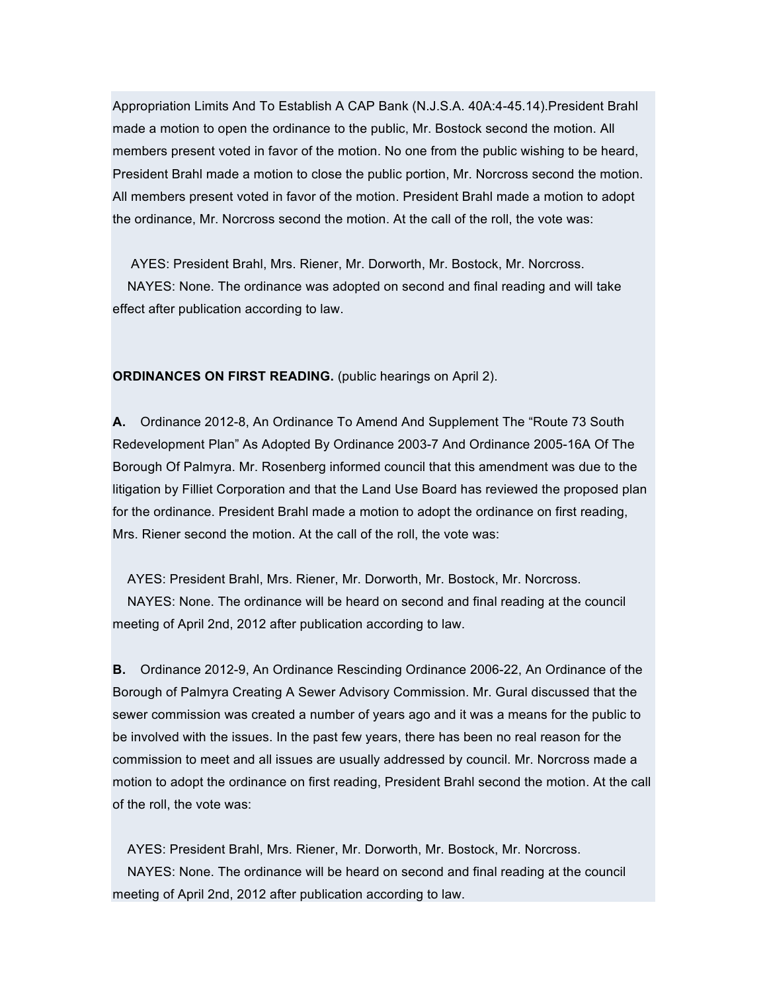Appropriation Limits And To Establish A CAP Bank (N.J.S.A. 40A:4-45.14).President Brahl made a motion to open the ordinance to the public, Mr. Bostock second the motion. All members present voted in favor of the motion. No one from the public wishing to be heard, President Brahl made a motion to close the public portion, Mr. Norcross second the motion. All members present voted in favor of the motion. President Brahl made a motion to adopt the ordinance, Mr. Norcross second the motion. At the call of the roll, the vote was:

AYES: President Brahl, Mrs. Riener, Mr. Dorworth, Mr. Bostock, Mr. Norcross. NAYES: None. The ordinance was adopted on second and final reading and will take effect after publication according to law.

**ORDINANCES ON FIRST READING.** (public hearings on April 2).

**A.** Ordinance 2012-8, An Ordinance To Amend And Supplement The "Route 73 South Redevelopment Plan" As Adopted By Ordinance 2003-7 And Ordinance 2005-16A Of The Borough Of Palmyra. Mr. Rosenberg informed council that this amendment was due to the litigation by Filliet Corporation and that the Land Use Board has reviewed the proposed plan for the ordinance. President Brahl made a motion to adopt the ordinance on first reading, Mrs. Riener second the motion. At the call of the roll, the vote was:

AYES: President Brahl, Mrs. Riener, Mr. Dorworth, Mr. Bostock, Mr. Norcross. NAYES: None. The ordinance will be heard on second and final reading at the council meeting of April 2nd, 2012 after publication according to law.

**B.** Ordinance 2012-9, An Ordinance Rescinding Ordinance 2006-22, An Ordinance of the Borough of Palmyra Creating A Sewer Advisory Commission. Mr. Gural discussed that the sewer commission was created a number of years ago and it was a means for the public to be involved with the issues. In the past few years, there has been no real reason for the commission to meet and all issues are usually addressed by council. Mr. Norcross made a motion to adopt the ordinance on first reading, President Brahl second the motion. At the call of the roll, the vote was:

AYES: President Brahl, Mrs. Riener, Mr. Dorworth, Mr. Bostock, Mr. Norcross. NAYES: None. The ordinance will be heard on second and final reading at the council meeting of April 2nd, 2012 after publication according to law.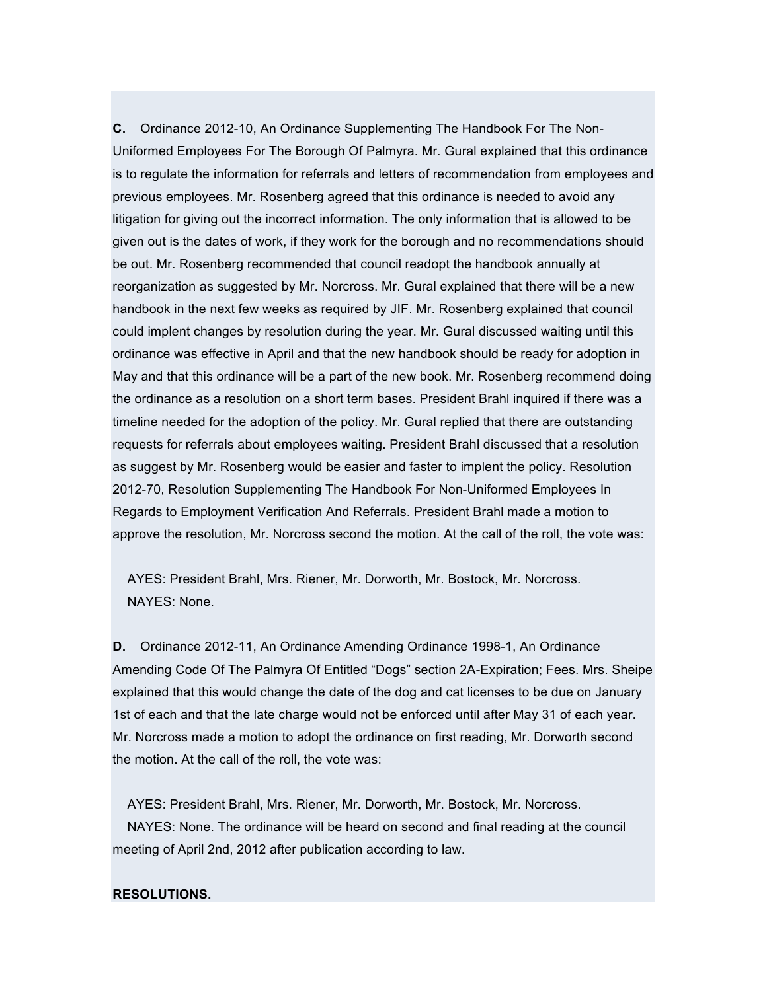**C.** Ordinance 2012-10, An Ordinance Supplementing The Handbook For The Non-Uniformed Employees For The Borough Of Palmyra. Mr. Gural explained that this ordinance is to regulate the information for referrals and letters of recommendation from employees and previous employees. Mr. Rosenberg agreed that this ordinance is needed to avoid any litigation for giving out the incorrect information. The only information that is allowed to be given out is the dates of work, if they work for the borough and no recommendations should be out. Mr. Rosenberg recommended that council readopt the handbook annually at reorganization as suggested by Mr. Norcross. Mr. Gural explained that there will be a new handbook in the next few weeks as required by JIF. Mr. Rosenberg explained that council could implent changes by resolution during the year. Mr. Gural discussed waiting until this ordinance was effective in April and that the new handbook should be ready for adoption in May and that this ordinance will be a part of the new book. Mr. Rosenberg recommend doing the ordinance as a resolution on a short term bases. President Brahl inquired if there was a timeline needed for the adoption of the policy. Mr. Gural replied that there are outstanding requests for referrals about employees waiting. President Brahl discussed that a resolution as suggest by Mr. Rosenberg would be easier and faster to implent the policy. Resolution 2012-70, Resolution Supplementing The Handbook For Non-Uniformed Employees In Regards to Employment Verification And Referrals. President Brahl made a motion to approve the resolution, Mr. Norcross second the motion. At the call of the roll, the vote was:

AYES: President Brahl, Mrs. Riener, Mr. Dorworth, Mr. Bostock, Mr. Norcross. NAYES: None.

**D.** Ordinance 2012-11, An Ordinance Amending Ordinance 1998-1, An Ordinance Amending Code Of The Palmyra Of Entitled "Dogs" section 2A-Expiration; Fees. Mrs. Sheipe explained that this would change the date of the dog and cat licenses to be due on January 1st of each and that the late charge would not be enforced until after May 31 of each year. Mr. Norcross made a motion to adopt the ordinance on first reading, Mr. Dorworth second the motion. At the call of the roll, the vote was:

AYES: President Brahl, Mrs. Riener, Mr. Dorworth, Mr. Bostock, Mr. Norcross. NAYES: None. The ordinance will be heard on second and final reading at the council meeting of April 2nd, 2012 after publication according to law.

### **RESOLUTIONS.**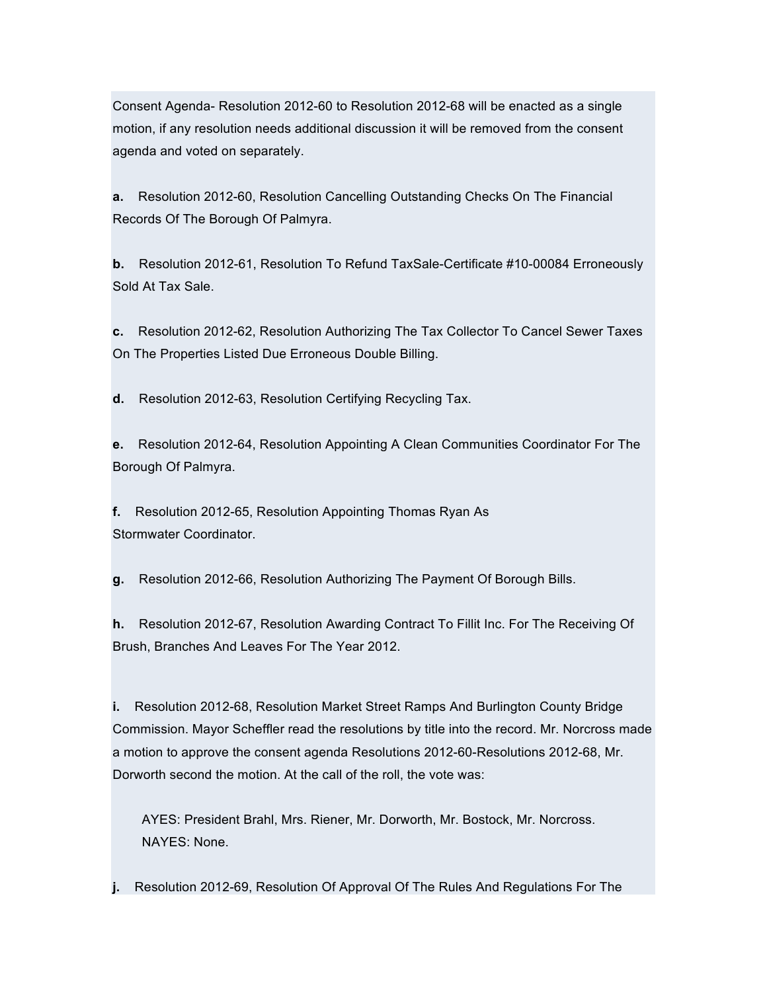Consent Agenda- Resolution 2012-60 to Resolution 2012-68 will be enacted as a single motion, if any resolution needs additional discussion it will be removed from the consent agenda and voted on separately.

**a.** Resolution 2012-60, Resolution Cancelling Outstanding Checks On The Financial Records Of The Borough Of Palmyra.

**b.** Resolution 2012-61, Resolution To Refund TaxSale-Certificate #10-00084 Erroneously Sold At Tax Sale.

**c.** Resolution 2012-62, Resolution Authorizing The Tax Collector To Cancel Sewer Taxes On The Properties Listed Due Erroneous Double Billing.

**d.** Resolution 2012-63, Resolution Certifying Recycling Tax.

**e.** Resolution 2012-64, Resolution Appointing A Clean Communities Coordinator For The Borough Of Palmyra.

**f.** Resolution 2012-65, Resolution Appointing Thomas Ryan As Stormwater Coordinator.

**g.** Resolution 2012-66, Resolution Authorizing The Payment Of Borough Bills.

**h.** Resolution 2012-67, Resolution Awarding Contract To Fillit Inc. For The Receiving Of Brush, Branches And Leaves For The Year 2012.

**i.** Resolution 2012-68, Resolution Market Street Ramps And Burlington County Bridge Commission. Mayor Scheffler read the resolutions by title into the record. Mr. Norcross made a motion to approve the consent agenda Resolutions 2012-60-Resolutions 2012-68, Mr. Dorworth second the motion. At the call of the roll, the vote was:

AYES: President Brahl, Mrs. Riener, Mr. Dorworth, Mr. Bostock, Mr. Norcross. NAYES: None.

**j.** Resolution 2012-69, Resolution Of Approval Of The Rules And Regulations For The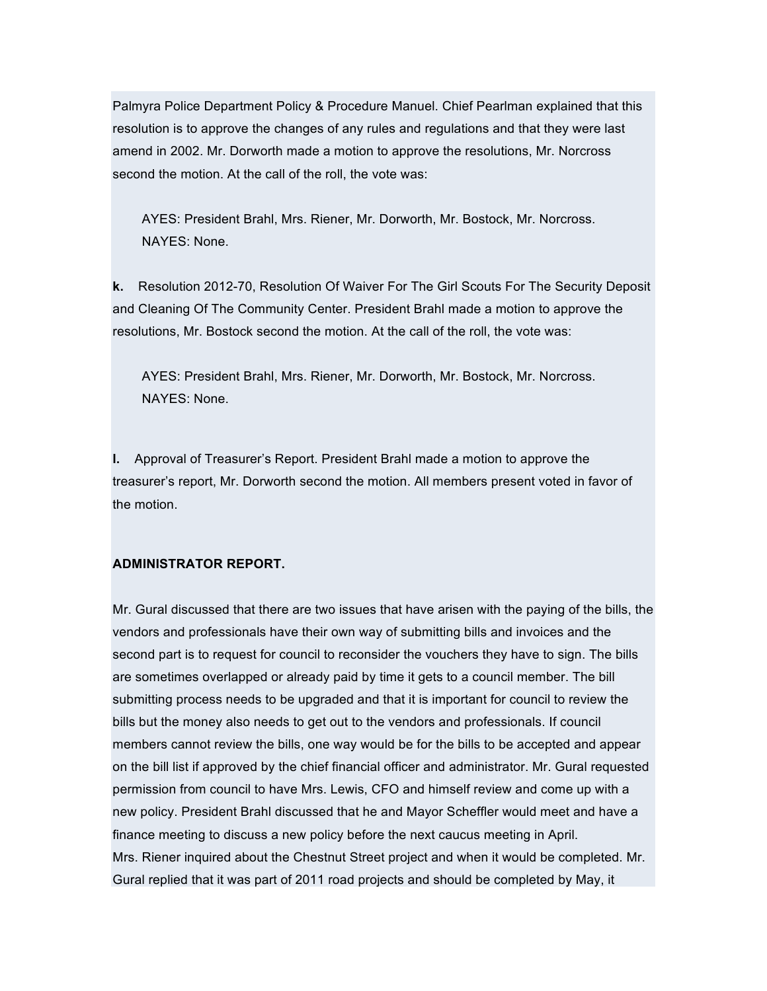Palmyra Police Department Policy & Procedure Manuel. Chief Pearlman explained that this resolution is to approve the changes of any rules and regulations and that they were last amend in 2002. Mr. Dorworth made a motion to approve the resolutions, Mr. Norcross second the motion. At the call of the roll, the vote was:

AYES: President Brahl, Mrs. Riener, Mr. Dorworth, Mr. Bostock, Mr. Norcross. NAYES: None.

**k.** Resolution 2012-70, Resolution Of Waiver For The Girl Scouts For The Security Deposit and Cleaning Of The Community Center. President Brahl made a motion to approve the resolutions, Mr. Bostock second the motion. At the call of the roll, the vote was:

AYES: President Brahl, Mrs. Riener, Mr. Dorworth, Mr. Bostock, Mr. Norcross. NAYES: None.

**l.** Approval of Treasurer's Report. President Brahl made a motion to approve the treasurer's report, Mr. Dorworth second the motion. All members present voted in favor of the motion.

### **ADMINISTRATOR REPORT.**

Mr. Gural discussed that there are two issues that have arisen with the paying of the bills, the vendors and professionals have their own way of submitting bills and invoices and the second part is to request for council to reconsider the vouchers they have to sign. The bills are sometimes overlapped or already paid by time it gets to a council member. The bill submitting process needs to be upgraded and that it is important for council to review the bills but the money also needs to get out to the vendors and professionals. If council members cannot review the bills, one way would be for the bills to be accepted and appear on the bill list if approved by the chief financial officer and administrator. Mr. Gural requested permission from council to have Mrs. Lewis, CFO and himself review and come up with a new policy. President Brahl discussed that he and Mayor Scheffler would meet and have a finance meeting to discuss a new policy before the next caucus meeting in April. Mrs. Riener inquired about the Chestnut Street project and when it would be completed. Mr. Gural replied that it was part of 2011 road projects and should be completed by May, it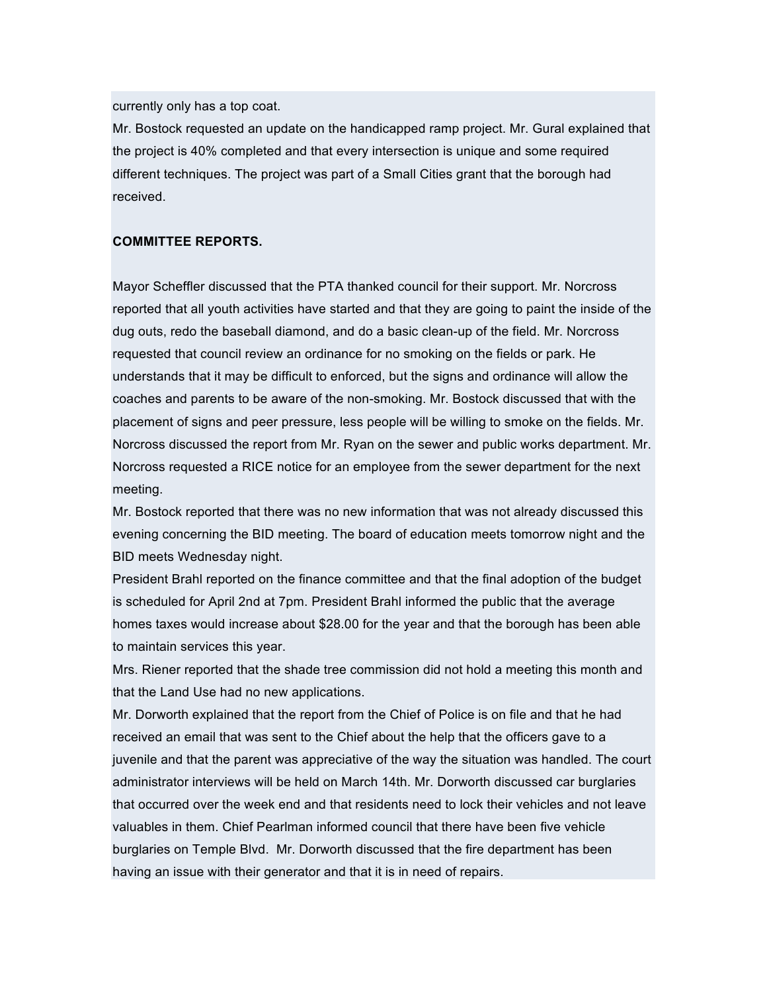currently only has a top coat.

Mr. Bostock requested an update on the handicapped ramp project. Mr. Gural explained that the project is 40% completed and that every intersection is unique and some required different techniques. The project was part of a Small Cities grant that the borough had received.

### **COMMITTEE REPORTS.**

Mayor Scheffler discussed that the PTA thanked council for their support. Mr. Norcross reported that all youth activities have started and that they are going to paint the inside of the dug outs, redo the baseball diamond, and do a basic clean-up of the field. Mr. Norcross requested that council review an ordinance for no smoking on the fields or park. He understands that it may be difficult to enforced, but the signs and ordinance will allow the coaches and parents to be aware of the non-smoking. Mr. Bostock discussed that with the placement of signs and peer pressure, less people will be willing to smoke on the fields. Mr. Norcross discussed the report from Mr. Ryan on the sewer and public works department. Mr. Norcross requested a RICE notice for an employee from the sewer department for the next meeting.

Mr. Bostock reported that there was no new information that was not already discussed this evening concerning the BID meeting. The board of education meets tomorrow night and the BID meets Wednesday night.

President Brahl reported on the finance committee and that the final adoption of the budget is scheduled for April 2nd at 7pm. President Brahl informed the public that the average homes taxes would increase about \$28.00 for the year and that the borough has been able to maintain services this year.

Mrs. Riener reported that the shade tree commission did not hold a meeting this month and that the Land Use had no new applications.

Mr. Dorworth explained that the report from the Chief of Police is on file and that he had received an email that was sent to the Chief about the help that the officers gave to a juvenile and that the parent was appreciative of the way the situation was handled. The court administrator interviews will be held on March 14th. Mr. Dorworth discussed car burglaries that occurred over the week end and that residents need to lock their vehicles and not leave valuables in them. Chief Pearlman informed council that there have been five vehicle burglaries on Temple Blvd. Mr. Dorworth discussed that the fire department has been having an issue with their generator and that it is in need of repairs.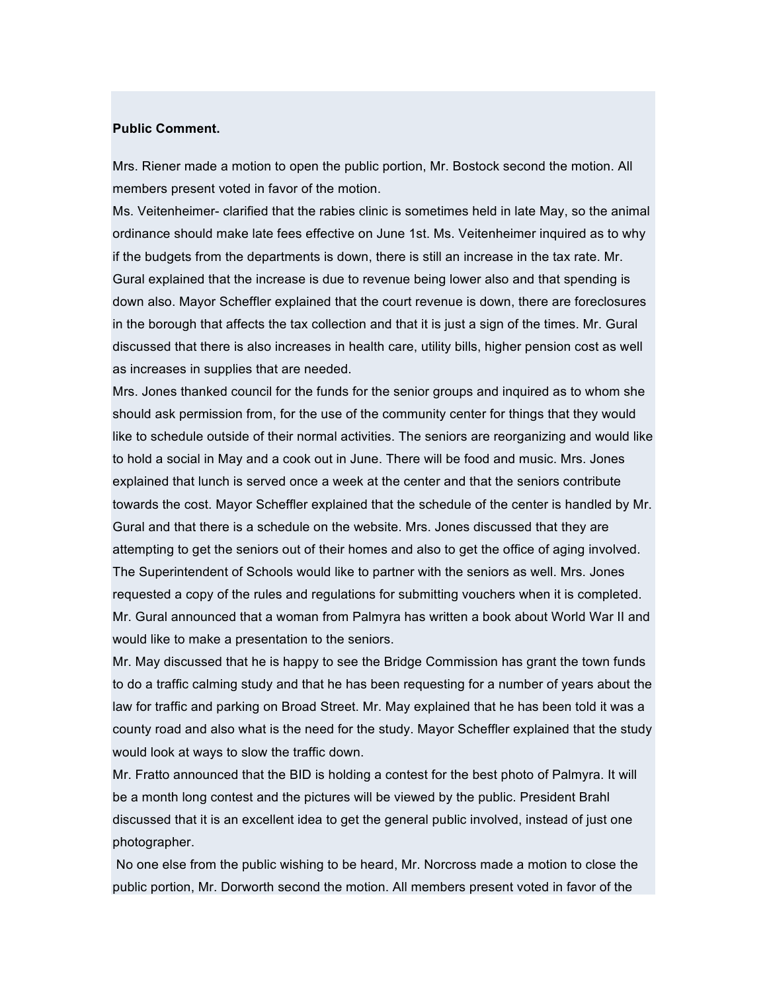#### **Public Comment.**

Mrs. Riener made a motion to open the public portion, Mr. Bostock second the motion. All members present voted in favor of the motion.

Ms. Veitenheimer- clarified that the rabies clinic is sometimes held in late May, so the animal ordinance should make late fees effective on June 1st. Ms. Veitenheimer inquired as to why if the budgets from the departments is down, there is still an increase in the tax rate. Mr. Gural explained that the increase is due to revenue being lower also and that spending is down also. Mayor Scheffler explained that the court revenue is down, there are foreclosures in the borough that affects the tax collection and that it is just a sign of the times. Mr. Gural discussed that there is also increases in health care, utility bills, higher pension cost as well as increases in supplies that are needed.

Mrs. Jones thanked council for the funds for the senior groups and inquired as to whom she should ask permission from, for the use of the community center for things that they would like to schedule outside of their normal activities. The seniors are reorganizing and would like to hold a social in May and a cook out in June. There will be food and music. Mrs. Jones explained that lunch is served once a week at the center and that the seniors contribute towards the cost. Mayor Scheffler explained that the schedule of the center is handled by Mr. Gural and that there is a schedule on the website. Mrs. Jones discussed that they are attempting to get the seniors out of their homes and also to get the office of aging involved. The Superintendent of Schools would like to partner with the seniors as well. Mrs. Jones requested a copy of the rules and regulations for submitting vouchers when it is completed. Mr. Gural announced that a woman from Palmyra has written a book about World War II and would like to make a presentation to the seniors.

Mr. May discussed that he is happy to see the Bridge Commission has grant the town funds to do a traffic calming study and that he has been requesting for a number of years about the law for traffic and parking on Broad Street. Mr. May explained that he has been told it was a county road and also what is the need for the study. Mayor Scheffler explained that the study would look at ways to slow the traffic down.

Mr. Fratto announced that the BID is holding a contest for the best photo of Palmyra. It will be a month long contest and the pictures will be viewed by the public. President Brahl discussed that it is an excellent idea to get the general public involved, instead of just one photographer.

No one else from the public wishing to be heard, Mr. Norcross made a motion to close the public portion, Mr. Dorworth second the motion. All members present voted in favor of the